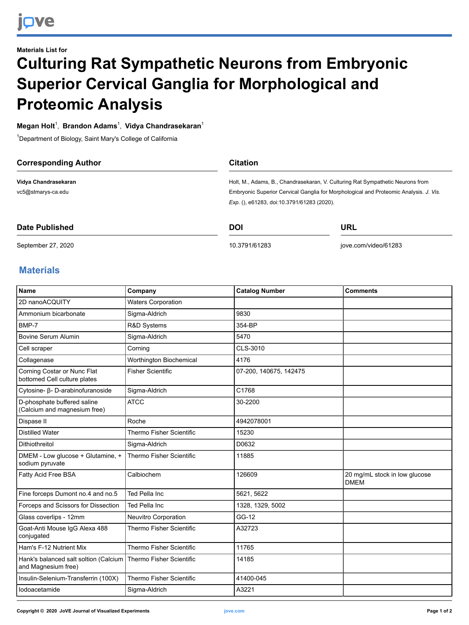## **Materials List for Culturing Rat Sympathetic Neurons from Embryonic Superior Cervical Ganglia for Morphological and Proteomic Analysis**

**Megan Holt**<sup>1</sup> , **Brandon Adams**<sup>1</sup> , **Vidya Chandrasekaran** 1

<sup>1</sup>Department of Biology, Saint Mary's College of California

| <b>Corresponding Author</b> | <b>Citation</b> |                                                                                                                                     |  |  |
|-----------------------------|-----------------|-------------------------------------------------------------------------------------------------------------------------------------|--|--|
| Vidya Chandrasekaran        |                 | Holt, M., Adams, B., Chandrasekaran, V. Culturing Rat Sympathetic Neurons from                                                      |  |  |
| vc5@stmarys-ca.edu          |                 | Embryonic Superior Cervical Ganglia for Morphological and Proteomic Analysis. J. Vis.<br>Exp. (), e61283, doi:10.3791/61283 (2020). |  |  |
|                             |                 |                                                                                                                                     |  |  |
| Date Published              | <b>DOI</b>      | URL                                                                                                                                 |  |  |

September 27, 2020

[10.3791/61283](http://dx.doi.org/10.3791/61283)

[jove.com/video/61283](https://www.jove.com/video/61283)

## **Materials**

| <b>Name</b>                                                  | Company                         | <b>Catalog Number</b>  | <b>Comments</b>                              |
|--------------------------------------------------------------|---------------------------------|------------------------|----------------------------------------------|
| 2D nanoACQUITY                                               | <b>Waters Corporation</b>       |                        |                                              |
| Ammonium bicarbonate                                         | Sigma-Aldrich                   | 9830                   |                                              |
| BMP-7                                                        | R&D Systems                     | 354-BP                 |                                              |
| Bovine Serum Alumin                                          | Sigma-Aldrich                   | 5470                   |                                              |
| Cell scraper                                                 | Corning                         | CLS-3010               |                                              |
| Collagenase                                                  | Worthington Biochemical         | 4176                   |                                              |
| Corning Costar or Nunc Flat<br>bottomed Cell culture plates  | <b>Fisher Scientific</b>        | 07-200, 140675, 142475 |                                              |
| Cytosine- β- D-arabinofuranoside                             | Sigma-Aldrich                   | C1768                  |                                              |
| D-phosphate buffered saline<br>(Calcium and magnesium free)  | <b>ATCC</b>                     | 30-2200                |                                              |
| Dispase II                                                   | Roche                           | 4942078001             |                                              |
| <b>Distilled Water</b>                                       | <b>Thermo Fisher Scientific</b> | 15230                  |                                              |
| Dithiothreitol                                               | Sigma-Aldrich                   | D0632                  |                                              |
| DMEM - Low glucose + Glutamine, +<br>sodium pyruvate         | Thermo Fisher Scientific        | 11885                  |                                              |
| Fatty Acid Free BSA                                          | Calbiochem                      | 126609                 | 20 mg/mL stock in low glucose<br><b>DMEM</b> |
| Fine forceps Dumont no.4 and no.5                            | Ted Pella Inc                   | 5621, 5622             |                                              |
| Forceps and Scissors for Dissection                          | Ted Pella Inc                   | 1328, 1329, 5002       |                                              |
| Glass coverlips - 12mm                                       | Neuvitro Corporation            | GG-12                  |                                              |
| Goat-Anti Mouse IgG Alexa 488<br>conjugated                  | Thermo Fisher Scientific        | A32723                 |                                              |
| Ham's F-12 Nutrient Mix                                      | <b>Thermo Fisher Scientific</b> | 11765                  |                                              |
| Hank's balanced salt soltion (Calcium<br>and Magnesium free) | Thermo Fisher Scientific        | 14185                  |                                              |
| Insulin-Selenium-Transferrin (100X)                          | Thermo Fisher Scientific        | 41400-045              |                                              |
| lodoacetamide                                                | Sigma-Aldrich                   | A3221                  |                                              |